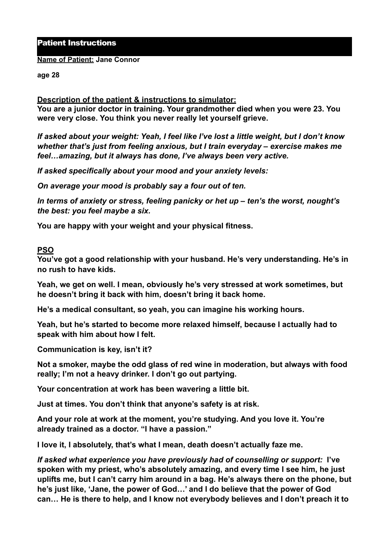#### Patient Instructions

#### **Name of Patient: Jane Connor**

#### **age 28**

## **Description of the patient & instructions to simulator:**

**You are a junior doctor in training. Your grandmother died when you were 23. You were very close. You think you never really let yourself grieve.** 

*If asked about your weight: Yeah, I feel like I've lost a little weight, but I don't know whether that's just from feeling anxious, but I train everyday – exercise makes me feel…amazing, but it always has done, I've always been very active.* 

*If asked specifically about your mood and your anxiety levels:* 

*On average your mood is probably say a four out of ten.* 

*In terms of anxiety or stress, feeling panicky or het up – ten's the worst, nought's the best: you feel maybe a six.* 

**You are happy with your weight and your physical fitness.**

## **PSO**

**You've got a good relationship with your husband. He's very understanding. He's in no rush to have kids.** 

**Yeah, we get on well. I mean, obviously he's very stressed at work sometimes, but he doesn't bring it back with him, doesn't bring it back home.** 

**He's a medical consultant, so yeah, you can imagine his working hours.** 

**Yeah, but he's started to become more relaxed himself, because I actually had to speak with him about how I felt.** 

**Communication is key, isn't it?** 

**Not a smoker, maybe the odd glass of red wine in moderation, but always with food really; I'm not a heavy drinker. I don't go out partying.** 

**Your concentration at work has been wavering a little bit.** 

**Just at times. You don't think that anyone's safety is at risk.** 

**And your role at work at the moment, you're studying. And you love it. You're already trained as a doctor. "I have a passion."** 

**I love it, I absolutely, that's what I mean, death doesn't actually faze me.** 

*If asked what experience you have previously had of counselling or support:* **I've spoken with my priest, who's absolutely amazing, and every time I see him, he just uplifts me, but I can't carry him around in a bag. He's always there on the phone, but he's just like, 'Jane, the power of God…' and I do believe that the power of God can… He is there to help, and I know not everybody believes and I don't preach it to**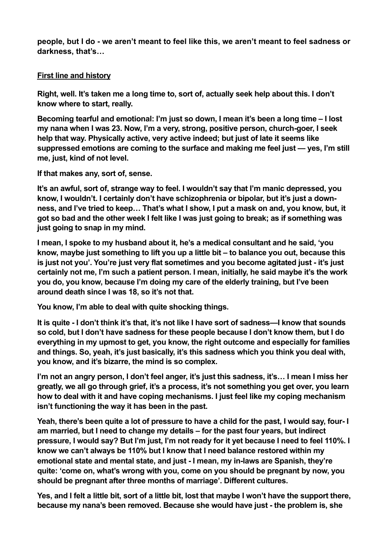**people, but I do - we aren't meant to feel like this, we aren't meant to feel sadness or darkness, that's…** 

# **First line and history**

**Right, well. It's taken me a long time to, sort of, actually seek help about this. I don't know where to start, really.** 

**Becoming tearful and emotional: I'm just so down, I mean it's been a long time – I lost my nana when I was 23. Now, I'm a very, strong, positive person, church-goer, I seek help that way. Physically active, very active indeed; but just of late it seems like suppressed emotions are coming to the surface and making me feel just — yes, I'm still me, just, kind of not level.** 

**If that makes any, sort of, sense.** 

**It's an awful, sort of, strange way to feel. I wouldn't say that I'm manic depressed, you know, I wouldn't. I certainly don't have schizophrenia or bipolar, but it's just a downness, and I've tried to keep… That's what I show, I put a mask on and, you know, but, it got so bad and the other week I felt like I was just going to break; as if something was just going to snap in my mind.** 

**I mean, I spoke to my husband about it, he's a medical consultant and he said, 'you know, maybe just something to lift you up a little bit – to balance you out, because this is just not you'. You're just very flat sometimes and you become agitated just - it's just certainly not me, I'm such a patient person. I mean, initially, he said maybe it's the work you do, you know, because I'm doing my care of the elderly training, but I've been around death since I was 18, so it's not that.** 

**You know, I'm able to deal with quite shocking things.** 

**It is quite - I don't think it's that, it's not like I have sort of sadness—I know that sounds so cold, but I don't have sadness for these people because I don't know them, but I do everything in my upmost to get, you know, the right outcome and especially for families and things. So, yeah, it's just basically, it's this sadness which you think you deal with, you know, and it's bizarre, the mind is so complex.** 

**I'm not an angry person, I don't feel anger, it's just this sadness, it's… I mean I miss her greatly, we all go through grief, it's a process, it's not something you get over, you learn how to deal with it and have coping mechanisms. I just feel like my coping mechanism isn't functioning the way it has been in the past.** 

**Yeah, there's been quite a lot of pressure to have a child for the past, I would say, four- I am married, but I need to change my details – for the past four years, but indirect pressure, I would say? But I'm just, I'm not ready for it yet because I need to feel 110%. I know we can't always be 110% but I know that I need balance restored within my emotional state and mental state, and just - I mean, my in-laws are Spanish, they're quite: 'come on, what's wrong with you, come on you should be pregnant by now, you should be pregnant after three months of marriage'. Different cultures.** 

**Yes, and I felt a little bit, sort of a little bit, lost that maybe I won't have the support there, because my nana's been removed. Because she would have just - the problem is, she**